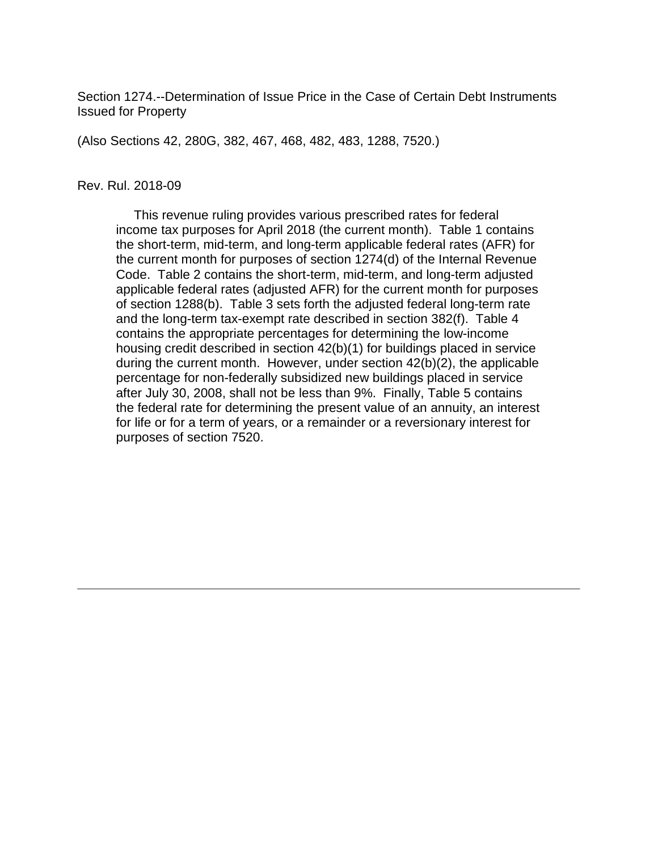Section 1274.--Determination of Issue Price in the Case of Certain Debt Instruments Issued for Property

(Also Sections 42, 280G, 382, 467, 468, 482, 483, 1288, 7520.)

#### Rev. Rul. 2018-09

 This revenue ruling provides various prescribed rates for federal income tax purposes for April 2018 (the current month). Table 1 contains the short-term, mid-term, and long-term applicable federal rates (AFR) for the current month for purposes of section 1274(d) of the Internal Revenue Code. Table 2 contains the short-term, mid-term, and long-term adjusted applicable federal rates (adjusted AFR) for the current month for purposes of section 1288(b). Table 3 sets forth the adjusted federal long-term rate and the long-term tax-exempt rate described in section 382(f). Table 4 contains the appropriate percentages for determining the low-income housing credit described in section 42(b)(1) for buildings placed in service during the current month. However, under section 42(b)(2), the applicable percentage for non-federally subsidized new buildings placed in service after July 30, 2008, shall not be less than 9%. Finally, Table 5 contains the federal rate for determining the present value of an annuity, an interest for life or for a term of years, or a remainder or a reversionary interest for purposes of section 7520.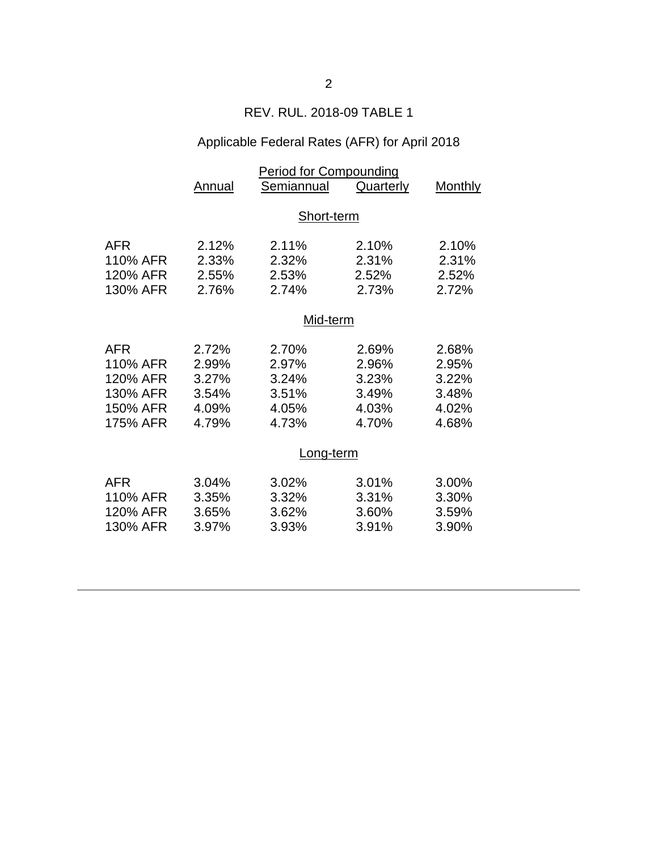### REV. RUL. 2018-09 TABLE 1

# Applicable Federal Rates (AFR) for April 2018

|            | Period for Compounding |            |                  |                |  |  |
|------------|------------------------|------------|------------------|----------------|--|--|
|            | Annual                 | Semiannual | <b>Quarterly</b> | <b>Monthly</b> |  |  |
|            |                        |            |                  |                |  |  |
|            | Short-term             |            |                  |                |  |  |
| <b>AFR</b> | 2.12%                  | 2.11%      | 2.10%            | 2.10%          |  |  |
| 110% AFR   | 2.33%                  | 2.32%      | 2.31%            | 2.31%          |  |  |
| 120% AFR   | 2.55%                  | 2.53%      | 2.52%            | 2.52%          |  |  |
| 130% AFR   | 2.76%                  | 2.74%      | 2.73%            | 2.72%          |  |  |
|            | Mid-term               |            |                  |                |  |  |
|            |                        |            |                  |                |  |  |
| <b>AFR</b> | 2.72%                  | 2.70%      | 2.69%            | 2.68%          |  |  |
| 110% AFR   | 2.99%                  | 2.97%      | 2.96%            | 2.95%          |  |  |
| 120% AFR   | 3.27%                  | 3.24%      | 3.23%            | 3.22%          |  |  |
| 130% AFR   | 3.54%                  | 3.51%      | 3.49%            | 3.48%          |  |  |
| 150% AFR   | 4.09%                  | 4.05%      | 4.03%            | 4.02%          |  |  |
| 175% AFR   | 4.79%                  | 4.73%      | 4.70%            | 4.68%          |  |  |
|            | <u>Long-term</u>       |            |                  |                |  |  |
|            |                        |            |                  |                |  |  |
| <b>AFR</b> | 3.04%                  | 3.02%      | 3.01%            | 3.00%          |  |  |
| 110% AFR   | 3.35%                  | 3.32%      | 3.31%            | 3.30%          |  |  |
| 120% AFR   | 3.65%                  | 3.62%      | 3.60%            | 3.59%          |  |  |
| 130% AFR   | 3.97%                  | 3.93%      | 3.91%            | 3.90%          |  |  |
|            |                        |            |                  |                |  |  |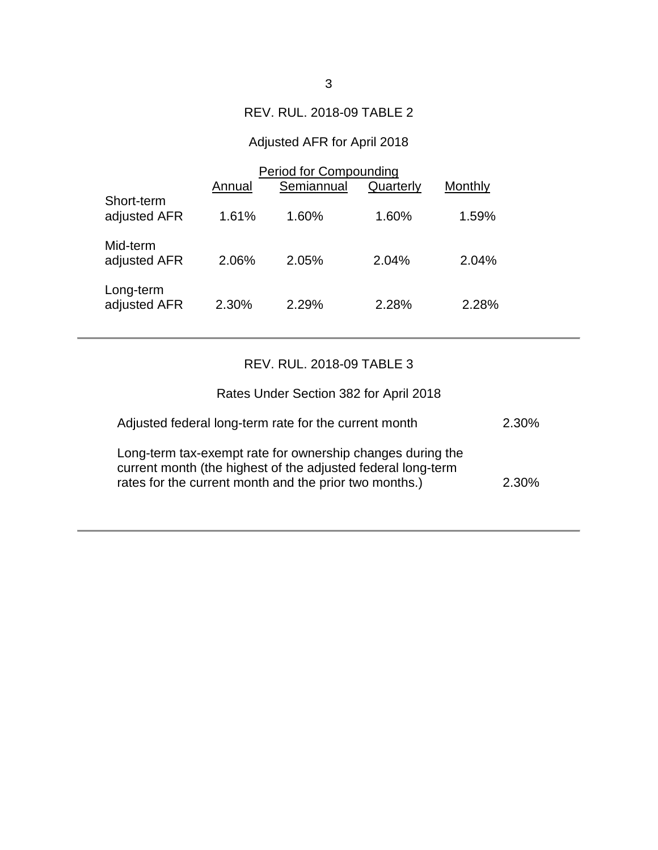# REV. RUL. 2018-09 TABLE 2

# Adjusted AFR for April 2018

|                            | Period for Compounding |            |           |         |  |
|----------------------------|------------------------|------------|-----------|---------|--|
|                            | Annual                 | Semiannual | Quarterly | Monthly |  |
| Short-term<br>adjusted AFR | 1.61%                  | 1.60%      | 1.60%     | 1.59%   |  |
| Mid-term<br>adjusted AFR   | 2.06%                  | 2.05%      | 2.04%     | 2.04%   |  |
| Long-term<br>adjusted AFR  | 2.30%                  | 2.29%      | 2.28%     | 2.28%   |  |

# REV. RUL. 2018-09 TABLE 3

| Rates Under Section 382 for April 2018                                                                                                                                               |       |
|--------------------------------------------------------------------------------------------------------------------------------------------------------------------------------------|-------|
| Adjusted federal long-term rate for the current month                                                                                                                                | 2.30% |
| Long-term tax-exempt rate for ownership changes during the<br>current month (the highest of the adjusted federal long-term<br>rates for the current month and the prior two months.) | 2.30% |